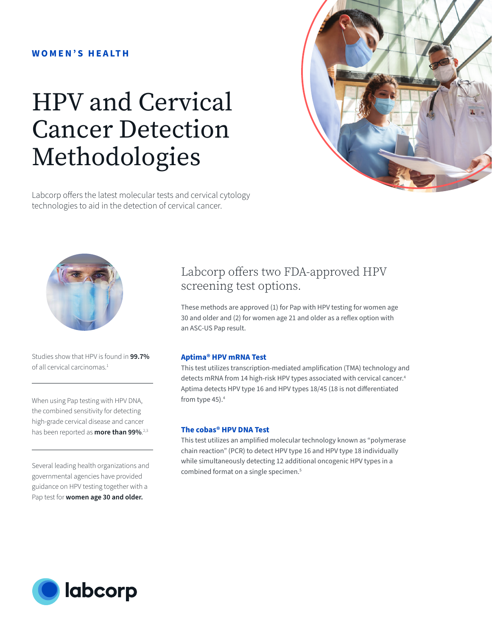## **W O M E N ' S H E A LT H**

# HPV and Cervical Cancer Detection Methodologies

Labcorp offers the latest molecular tests and cervical cytology technologies to aid in the detection of cervical cancer.





Studies show that HPV is found in **99.7%** of all cervical carcinomas.<sup>1</sup>

When using Pap testing with HPV DNA, the combined sensitivity for detecting high-grade cervical disease and cancer has been reported as **more than 99%**. 2,3

Several leading health organizations and governmental agencies have provided guidance on HPV testing together with a Pap test for **women age 30 and older.**

# Labcorp offers two FDA-approved HPV screening test options.

These methods are approved (1) for Pap with HPV testing for women age 30 and older and (2) for women age 21 and older as a reflex option with an ASC-US Pap result.

#### **Aptima® HPV mRNA Test**

This test utilizes transcription-mediated amplification (TMA) technology and detects mRNA from 14 high-risk HPV types associated with cervical cancer.<sup>4</sup> Aptima detects HPV type 16 and HPV types 18/45 (18 is not differentiated from type 45).4

### **The cobas® HPV DNA Test**

This test utilizes an amplified molecular technology known as "polymerase chain reaction" (PCR) to detect HPV type 16 and HPV type 18 individually while simultaneously detecting 12 additional oncogenic HPV types in a combined format on a single specimen.<sup>5</sup>